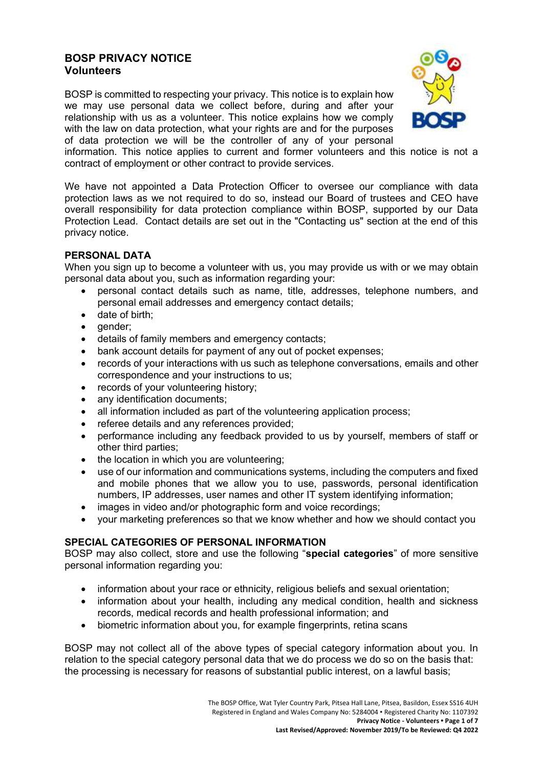# **BOSP PRIVACY NOTICE Volunteers**

BOSP is committed to respecting your privacy. This notice is to explain how we may use personal data we collect before, during and after your relationship with us as a volunteer. This notice explains how we comply with the law on data protection, what your rights are and for the purposes of data protection we will be the controller of any of your personal



information. This notice applies to current and former volunteers and this notice is not a contract of employment or other contract to provide services.

We have not appointed a Data Protection Officer to oversee our compliance with data protection laws as we not required to do so, instead our Board of trustees and CEO have overall responsibility for data protection compliance within BOSP, supported by our Data Protection Lead. Contact details are set out in the "Contacting us" section at the end of this privacy notice.

### **PERSONAL DATA**

When you sign up to become a volunteer with us, you may provide us with or we may obtain personal data about you, such as information regarding your:

- personal contact details such as name, title, addresses, telephone numbers, and personal email addresses and emergency contact details;
- date of birth;
- qender:
- details of family members and emergency contacts;
- bank account details for payment of any out of pocket expenses;
- records of your interactions with us such as telephone conversations, emails and other correspondence and your instructions to us;
- records of your volunteering history;
- any identification documents;
- all information included as part of the volunteering application process;
- referee details and any references provided;
- performance including any feedback provided to us by yourself, members of staff or other third parties;
- the location in which you are volunteering;
- use of our information and communications systems, including the computers and fixed and mobile phones that we allow you to use, passwords, personal identification numbers, IP addresses, user names and other IT system identifying information;
- images in video and/or photographic form and voice recordings;
- your marketing preferences so that we know whether and how we should contact you

#### **SPECIAL CATEGORIES OF PERSONAL INFORMATION**

BOSP may also collect, store and use the following "**special categories**" of more sensitive personal information regarding you:

- information about your race or ethnicity, religious beliefs and sexual orientation;
- information about your health, including any medical condition, health and sickness records, medical records and health professional information; and
- biometric information about you, for example fingerprints, retina scans

BOSP may not collect all of the above types of special category information about you. In relation to the special category personal data that we do process we do so on the basis that: the processing is necessary for reasons of substantial public interest, on a lawful basis;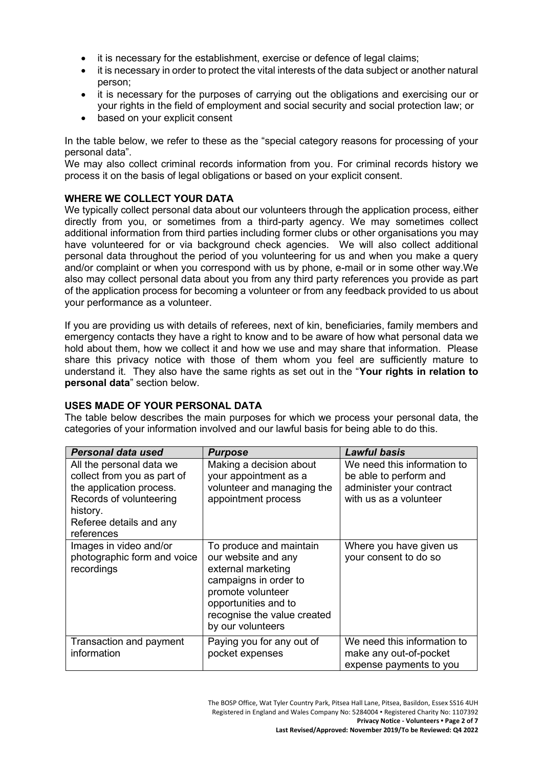- it is necessary for the establishment, exercise or defence of legal claims;
- it is necessary in order to protect the vital interests of the data subject or another natural person;
- it is necessary for the purposes of carrying out the obligations and exercising our or your rights in the field of employment and social security and social protection law; or
- based on your explicit consent

In the table below, we refer to these as the "special category reasons for processing of your personal data".

We may also collect criminal records information from you. For criminal records history we process it on the basis of legal obligations or based on your explicit consent.

# **WHERE WE COLLECT YOUR DATA**

We typically collect personal data about our volunteers through the application process, either directly from you, or sometimes from a third-party agency. We may sometimes collect additional information from third parties including former clubs or other organisations you may have volunteered for or via background check agencies. We will also collect additional personal data throughout the period of you volunteering for us and when you make a query and/or complaint or when you correspond with us by phone, e-mail or in some other way.We also may collect personal data about you from any third party references you provide as part of the application process for becoming a volunteer or from any feedback provided to us about your performance as a volunteer.

If you are providing us with details of referees, next of kin, beneficiaries, family members and emergency contacts they have a right to know and to be aware of how what personal data we hold about them, how we collect it and how we use and may share that information. Please share this privacy notice with those of them whom you feel are sufficiently mature to understand it. They also have the same rights as set out in the "**Your rights in relation to personal data**" section below.

#### **USES MADE OF YOUR PERSONAL DATA**

The table below describes the main purposes for which we process your personal data, the categories of your information involved and our lawful basis for being able to do this.

| Personal data used                                                                                                                                                  | <b>Purpose</b>                                                                                                                                                                                 | Lawful basis                                                                                                |
|---------------------------------------------------------------------------------------------------------------------------------------------------------------------|------------------------------------------------------------------------------------------------------------------------------------------------------------------------------------------------|-------------------------------------------------------------------------------------------------------------|
| All the personal data we<br>collect from you as part of<br>the application process.<br>Records of volunteering<br>history.<br>Referee details and any<br>references | Making a decision about<br>your appointment as a<br>volunteer and managing the<br>appointment process                                                                                          | We need this information to<br>be able to perform and<br>administer your contract<br>with us as a volunteer |
| Images in video and/or<br>photographic form and voice<br>recordings                                                                                                 | To produce and maintain<br>our website and any<br>external marketing<br>campaigns in order to<br>promote volunteer<br>opportunities and to<br>recognise the value created<br>by our volunteers | Where you have given us<br>your consent to do so                                                            |
| Transaction and payment<br>information                                                                                                                              | Paying you for any out of<br>pocket expenses                                                                                                                                                   | We need this information to<br>make any out-of-pocket<br>expense payments to you                            |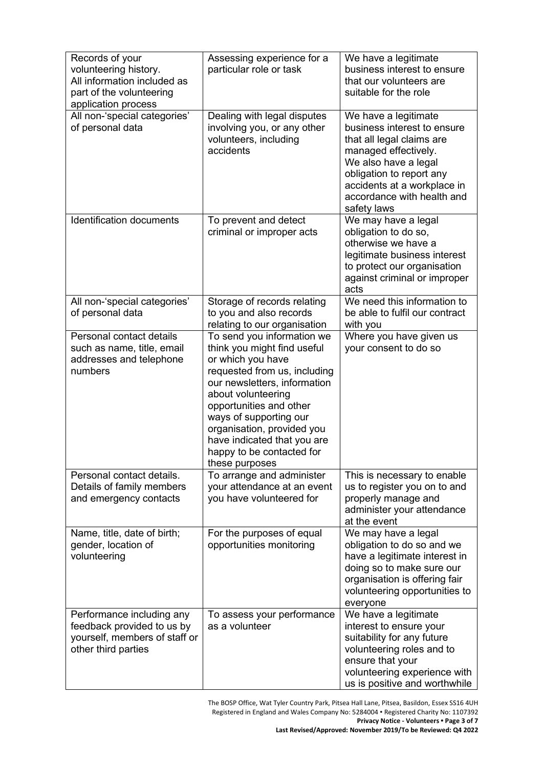| Records of your<br>volunteering history.<br>All information included as<br>part of the volunteering<br>application process | Assessing experience for a<br>particular role or task                                                                                                                                                                                                                                                                                 | We have a legitimate<br>business interest to ensure<br>that our volunteers are<br>suitable for the role                                                                                                                                  |
|----------------------------------------------------------------------------------------------------------------------------|---------------------------------------------------------------------------------------------------------------------------------------------------------------------------------------------------------------------------------------------------------------------------------------------------------------------------------------|------------------------------------------------------------------------------------------------------------------------------------------------------------------------------------------------------------------------------------------|
| All non-'special categories'<br>of personal data                                                                           | Dealing with legal disputes<br>involving you, or any other<br>volunteers, including<br>accidents                                                                                                                                                                                                                                      | We have a legitimate<br>business interest to ensure<br>that all legal claims are<br>managed effectively.<br>We also have a legal<br>obligation to report any<br>accidents at a workplace in<br>accordance with health and<br>safety laws |
| <b>Identification documents</b>                                                                                            | To prevent and detect<br>criminal or improper acts                                                                                                                                                                                                                                                                                    | We may have a legal<br>obligation to do so,<br>otherwise we have a<br>legitimate business interest<br>to protect our organisation<br>against criminal or improper<br>acts                                                                |
| All non-'special categories'<br>of personal data                                                                           | Storage of records relating<br>to you and also records<br>relating to our organisation                                                                                                                                                                                                                                                | We need this information to<br>be able to fulfil our contract<br>with you                                                                                                                                                                |
| Personal contact details<br>such as name, title, email<br>addresses and telephone<br>numbers                               | To send you information we<br>think you might find useful<br>or which you have<br>requested from us, including<br>our newsletters, information<br>about volunteering<br>opportunities and other<br>ways of supporting our<br>organisation, provided you<br>have indicated that you are<br>happy to be contacted for<br>these purposes | Where you have given us<br>your consent to do so                                                                                                                                                                                         |
| Personal contact details.<br>Details of family members<br>and emergency contacts                                           | To arrange and administer<br>your attendance at an event<br>you have volunteered for                                                                                                                                                                                                                                                  | This is necessary to enable<br>us to register you on to and<br>properly manage and<br>administer your attendance<br>at the event                                                                                                         |
| Name, title, date of birth;<br>gender, location of<br>volunteering                                                         | For the purposes of equal<br>opportunities monitoring                                                                                                                                                                                                                                                                                 | We may have a legal<br>obligation to do so and we<br>have a legitimate interest in<br>doing so to make sure our<br>organisation is offering fair<br>volunteering opportunities to<br>everyone                                            |
| Performance including any<br>feedback provided to us by<br>yourself, members of staff or<br>other third parties            | To assess your performance<br>as a volunteer                                                                                                                                                                                                                                                                                          | We have a legitimate<br>interest to ensure your<br>suitability for any future<br>volunteering roles and to<br>ensure that your<br>volunteering experience with<br>us is positive and worthwhile                                          |

The BOSP Office, Wat Tyler Country Park, Pitsea Hall Lane, Pitsea, Basildon, Essex SS16 4UH Registered in England and Wales Company No: 5284004 • Registered Charity No: 1107392 **Privacy Notice - Volunteers • Page 3 of 7**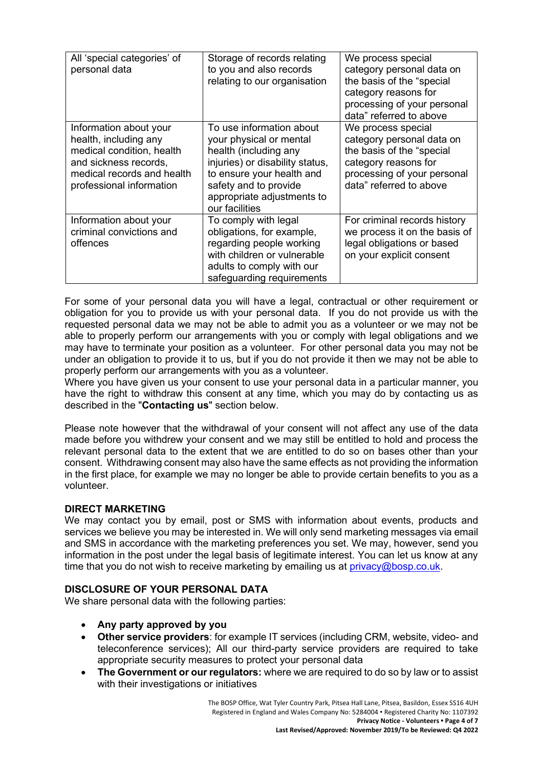| All 'special categories' of<br>personal data                                                                                                                    | Storage of records relating<br>to you and also records<br>relating to our organisation                                                                                                                                | We process special<br>category personal data on<br>the basis of the "special<br>category reasons for<br>processing of your personal<br>data" referred to above |
|-----------------------------------------------------------------------------------------------------------------------------------------------------------------|-----------------------------------------------------------------------------------------------------------------------------------------------------------------------------------------------------------------------|----------------------------------------------------------------------------------------------------------------------------------------------------------------|
| Information about your<br>health, including any<br>medical condition, health<br>and sickness records,<br>medical records and health<br>professional information | To use information about<br>your physical or mental<br>health (including any<br>injuries) or disability status,<br>to ensure your health and<br>safety and to provide<br>appropriate adjustments to<br>our facilities | We process special<br>category personal data on<br>the basis of the "special<br>category reasons for<br>processing of your personal<br>data" referred to above |
| Information about your<br>criminal convictions and<br>offences                                                                                                  | To comply with legal<br>obligations, for example,<br>regarding people working<br>with children or vulnerable<br>adults to comply with our<br>safeguarding requirements                                                | For criminal records history<br>we process it on the basis of<br>legal obligations or based<br>on your explicit consent                                        |

For some of your personal data you will have a legal, contractual or other requirement or obligation for you to provide us with your personal data. If you do not provide us with the requested personal data we may not be able to admit you as a volunteer or we may not be able to properly perform our arrangements with you or comply with legal obligations and we may have to terminate your position as a volunteer. For other personal data you may not be under an obligation to provide it to us, but if you do not provide it then we may not be able to properly perform our arrangements with you as a volunteer.

Where you have given us your consent to use your personal data in a particular manner, you have the right to withdraw this consent at any time, which you may do by contacting us as described in the "**Contacting us**" section below.

Please note however that the withdrawal of your consent will not affect any use of the data made before you withdrew your consent and we may still be entitled to hold and process the relevant personal data to the extent that we are entitled to do so on bases other than your consent. Withdrawing consent may also have the same effects as not providing the information in the first place, for example we may no longer be able to provide certain benefits to you as a volunteer.

### **DIRECT MARKETING**

We may contact you by email, post or SMS with information about events, products and services we believe you may be interested in. We will only send marketing messages via email and SMS in accordance with the marketing preferences you set. We may, however, send you information in the post under the legal basis of legitimate interest. You can let us know at any time that you do not wish to receive marketing by emailing us at [privacy@bosp.co.uk.](mailto:privacy@bosp.co.uk)

# **DISCLOSURE OF YOUR PERSONAL DATA**

We share personal data with the following parties:

- **Any party approved by you**
- **Other service providers**: for example IT services (including CRM, website, video- and teleconference services); All our third-party service providers are required to take appropriate security measures to protect your personal data
- **The Government or our regulators:** where we are required to do so by law or to assist with their investigations or initiatives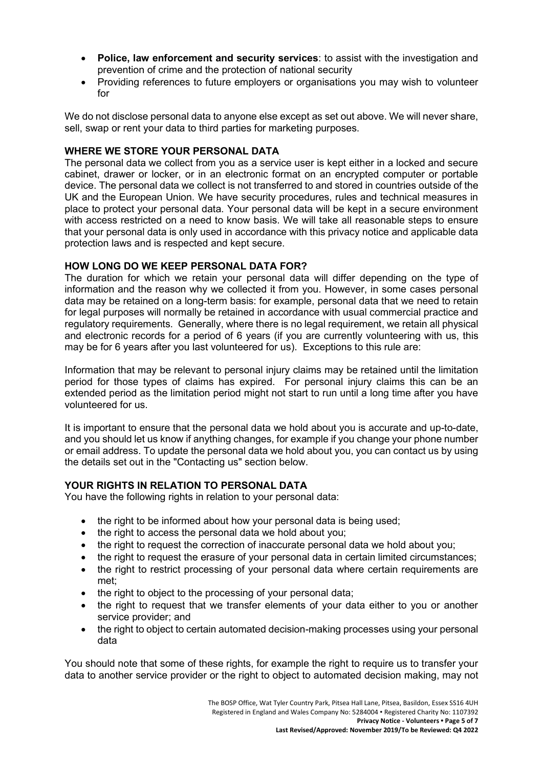- **Police, law enforcement and security services**: to assist with the investigation and prevention of crime and the protection of national security
- Providing references to future employers or organisations you may wish to volunteer for

We do not disclose personal data to anyone else except as set out above. We will never share, sell, swap or rent your data to third parties for marketing purposes.

## **WHERE WE STORE YOUR PERSONAL DATA**

The personal data we collect from you as a service user is kept either in a locked and secure cabinet, drawer or locker, or in an electronic format on an encrypted computer or portable device. The personal data we collect is not transferred to and stored in countries outside of the UK and the European Union. We have security procedures, rules and technical measures in place to protect your personal data. Your personal data will be kept in a secure environment with access restricted on a need to know basis. We will take all reasonable steps to ensure that your personal data is only used in accordance with this privacy notice and applicable data protection laws and is respected and kept secure.

# **HOW LONG DO WE KEEP PERSONAL DATA FOR?**

The duration for which we retain your personal data will differ depending on the type of information and the reason why we collected it from you. However, in some cases personal data may be retained on a long-term basis: for example, personal data that we need to retain for legal purposes will normally be retained in accordance with usual commercial practice and regulatory requirements. Generally, where there is no legal requirement, we retain all physical and electronic records for a period of 6 years (if you are currently volunteering with us, this may be for 6 years after you last volunteered for us). Exceptions to this rule are:

Information that may be relevant to personal injury claims may be retained until the limitation period for those types of claims has expired. For personal injury claims this can be an extended period as the limitation period might not start to run until a long time after you have volunteered for us.

It is important to ensure that the personal data we hold about you is accurate and up-to-date, and you should let us know if anything changes, for example if you change your phone number or email address. To update the personal data we hold about you, you can contact us by using the details set out in the "Contacting us" section below.

# **YOUR RIGHTS IN RELATION TO PERSONAL DATA**

You have the following rights in relation to your personal data:

- the right to be informed about how your personal data is being used;
- the right to access the personal data we hold about you;
- the right to request the correction of inaccurate personal data we hold about you;
- the right to request the erasure of your personal data in certain limited circumstances;
- the right to restrict processing of your personal data where certain requirements are met;
- the right to object to the processing of your personal data;
- the right to request that we transfer elements of your data either to you or another service provider; and
- the right to object to certain automated decision-making processes using your personal data

You should note that some of these rights, for example the right to require us to transfer your data to another service provider or the right to object to automated decision making, may not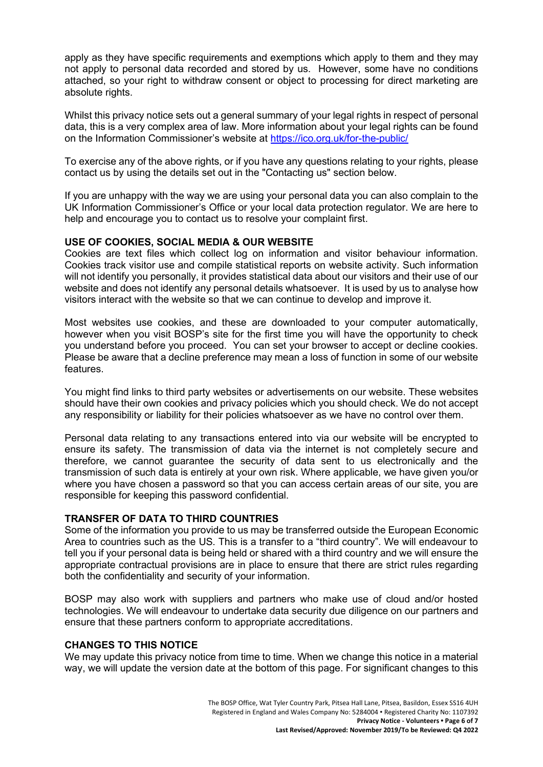apply as they have specific requirements and exemptions which apply to them and they may not apply to personal data recorded and stored by us. However, some have no conditions attached, so your right to withdraw consent or object to processing for direct marketing are absolute rights.

Whilst this privacy notice sets out a general summary of your legal rights in respect of personal data, this is a very complex area of law. More information about your legal rights can be found on the Information Commissioner's website at <https://ico.org.uk/for-the-public/>

To exercise any of the above rights, or if you have any questions relating to your rights, please contact us by using the details set out in the "Contacting us" section below.

If you are unhappy with the way we are using your personal data you can also complain to the UK Information Commissioner's Office or your local data protection regulator. We are here to help and encourage you to contact us to resolve your complaint first.

### **USE OF COOKIES, SOCIAL MEDIA & OUR WEBSITE**

Cookies are text files which collect log on information and visitor behaviour information. Cookies track visitor use and compile statistical reports on website activity. Such information will not identify you personally, it provides statistical data about our visitors and their use of our website and does not identify any personal details whatsoever. It is used by us to analyse how visitors interact with the website so that we can continue to develop and improve it.

Most websites use cookies, and these are downloaded to your computer automatically, however when you visit BOSP's site for the first time you will have the opportunity to check you understand before you proceed. You can set your browser to accept or decline cookies. Please be aware that a decline preference may mean a loss of function in some of our website features.

You might find links to third party websites or advertisements on our website. These websites should have their own cookies and privacy policies which you should check. We do not accept any responsibility or liability for their policies whatsoever as we have no control over them.

Personal data relating to any transactions entered into via our website will be encrypted to ensure its safety. The transmission of data via the internet is not completely secure and therefore, we cannot guarantee the security of data sent to us electronically and the transmission of such data is entirely at your own risk. Where applicable, we have given you/or where you have chosen a password so that you can access certain areas of our site, you are responsible for keeping this password confidential.

## **TRANSFER OF DATA TO THIRD COUNTRIES**

Some of the information you provide to us may be transferred outside the European Economic Area to countries such as the US. This is a transfer to a "third country". We will endeavour to tell you if your personal data is being held or shared with a third country and we will ensure the appropriate contractual provisions are in place to ensure that there are strict rules regarding both the confidentiality and security of your information.

BOSP may also work with suppliers and partners who make use of cloud and/or hosted technologies. We will endeavour to undertake data security due diligence on our partners and ensure that these partners conform to appropriate accreditations.

# **CHANGES TO THIS NOTICE**

We may update this privacy notice from time to time. When we change this notice in a material way, we will update the version date at the bottom of this page. For significant changes to this